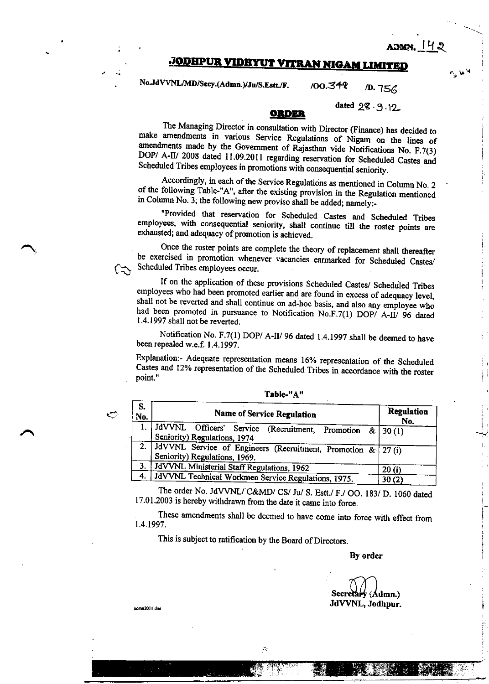admn. 142

## **JODHPUR VIDHYUT VITRAN NIGAM LIMITED**

No.JdVVNL/MD/Secy.(Admn.)/Ju/S.Estt./F. /00.348 D. 756

dated 28.9.12

## ORDER

The Managing Director in consultation with Director (Finance) has decided to make amendments in various Service Regulations of Nigam on the lines of amendments made by the Government of Rajasthan vide Notifications No. F.7(3) DOP/ A-II/ 2008 dated 11.09.2011 regarding reservation for Scheduled Castes and Scheduled Tribes employees in promotions with consequential seniority.

Accordingly, in each of the Service Regulations as mentioned in Column No. 2 of the following Table-"A", after the existing provision in the Regulation mentioned in Column No. 3, the following new proviso shall be added; namely:-

"Provided that reservation for Scheduled Castes and Scheduled Tribes employees, with consequential seniority, shall continue till the roster points are exhausted; and adequacy of promotion is achieved.

Once the roster points are complete the theory of replacement shall thereafter be exercised in promotion whenever vacancies earmarked for Scheduled Castes/ Scheduled Tribes employees occur.

If on the application of these provisions Scheduled Castes/ Scheduled Tribes employees who had been promoted earlier and are found in excess of adequacy level, shall not be reverted and shall continue on ad-hoc basis, and also any employee who had been promoted in pursuance to Notification No.F.7(1) DOP/ A-II/ 96 dated 1.4.1997 shall not be reverted.

Notification No. F.7(1) DOP/ A-II/ 96 dated 1.4.1997 shall be deemed to have been repealed w.e.f. 1.4.1997.

Explanation:- Adequate representation means 16% representation of the Scheduled Castes and 12% representation of the Scheduled Tribes in accordance with the roster point."

| ٠ |  |
|---|--|
|   |  |
|   |  |

 $\bigcirc$ 

| S.<br>No. | <b>Name of Service Regulation</b>                                                               | Regulation<br>No. |
|-----------|-------------------------------------------------------------------------------------------------|-------------------|
|           | JdVVNL Officers' Service (Recruitment, Promotion &   30 (1)<br>Seniority) Regulations, 1974     |                   |
|           | 2. JdVVNL Service of Engineers (Recruitment, Promotion & 27(i)<br>Seniority) Regulations, 1969. |                   |
| 3.        | JdVVNL Ministerial Staff Regulations, 1962                                                      | 20(i)             |
| 4.        | JdVVNL Technical Workmen Service Regulations, 1975.                                             | 30(2)             |

Table-"A"

The order No. JdVVNL/C&MD/CS/Ju/S. Estt./F./OO. 183/D. 1060 dated 17.01.2003 is hereby withdrawn from the date it came into force.

These amendments shall be deemed to have come into force with effect from 1.4.1997.

This is subject to ratification by the Board of Directors.

## By order

Secretary (Admn.) JdVVNL, Jodhpur.

admn2011 do